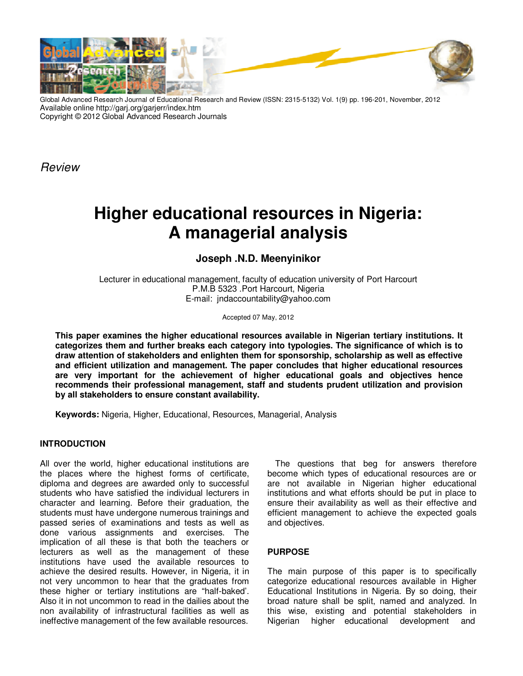

Global Advanced Research Journal of Educational Research and Review (ISSN: 2315-5132) Vol. 1(9) pp. 196-201, November, 2012 Available online http://garj.org/garjerr/index.htm Copyright © 2012 Global Advanced Research Journals

*Review*

# **Higher educational resources in Nigeria: A managerial analysis**

# **Joseph .N.D. Meenyinikor**

Lecturer in educational management, faculty of education university of Port Harcourt P.M.B 5323 .Port Harcourt, Nigeria E-mail: jndaccountability@yahoo.com

Accepted 07 May, 2012

**This paper examines the higher educational resources available in Nigerian tertiary institutions. It categorizes them and further breaks each category into typologies. The significance of which is to draw attention of stakeholders and enlighten them for sponsorship, scholarship as well as effective and efficient utilization and management. The paper concludes that higher educational resources are very important for the achievement of higher educational goals and objectives hence recommends their professional management, staff and students prudent utilization and provision by all stakeholders to ensure constant availability.** 

**Keywords:** Nigeria, Higher, Educational, Resources, Managerial, Analysis

#### **INTRODUCTION**

All over the world, higher educational institutions are the places where the highest forms of certificate, diploma and degrees are awarded only to successful students who have satisfied the individual lecturers in character and learning. Before their graduation, the students must have undergone numerous trainings and passed series of examinations and tests as well as done various assignments and exercises. The implication of all these is that both the teachers or lecturers as well as the management of these institutions have used the available resources to achieve the desired results. However, in Nigeria, it in not very uncommon to hear that the graduates from these higher or tertiary institutions are "half-baked'. Also it in not uncommon to read in the dailies about the non availability of infrastructural facilities as well as ineffective management of the few available resources.

The questions that beg for answers therefore become which types of educational resources are or are not available in Nigerian higher educational institutions and what efforts should be put in place to ensure their availability as well as their effective and efficient management to achieve the expected goals and objectives.

#### **PURPOSE**

The main purpose of this paper is to specifically categorize educational resources available in Higher Educational Institutions in Nigeria. By so doing, their broad nature shall be split, named and analyzed. In this wise, existing and potential stakeholders in Nigerian higher educational development and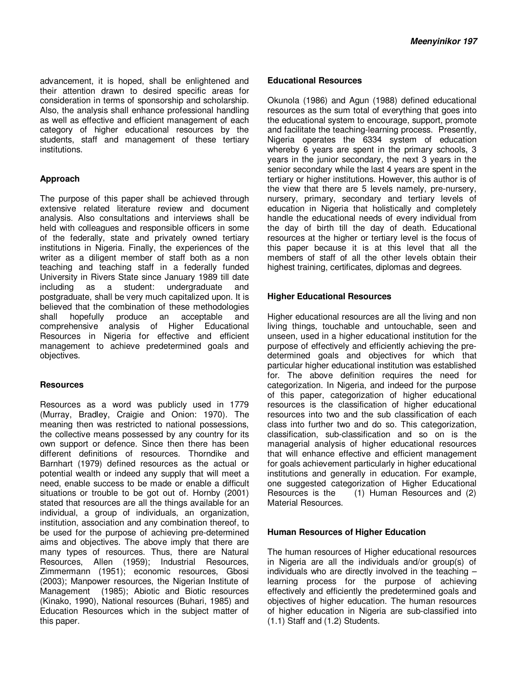advancement, it is hoped, shall be enlightened and their attention drawn to desired specific areas for consideration in terms of sponsorship and scholarship. Also, the analysis shall enhance professional handling as well as effective and efficient management of each category of higher educational resources by the students, staff and management of these tertiary institutions.

## **Approach**

The purpose of this paper shall be achieved through extensive related literature review and document analysis. Also consultations and interviews shall be held with colleagues and responsible officers in some of the federally, state and privately owned tertiary institutions in Nigeria. Finally, the experiences of the writer as a diligent member of staff both as a non teaching and teaching staff in a federally funded University in Rivers State since January 1989 till date including as a student: undergraduate and postgraduate, shall be very much capitalized upon. It is believed that the combination of these methodologies shall hopefully produce an acceptable and comprehensive analysis of Higher Educational Resources in Nigeria for effective and efficient management to achieve predetermined goals and objectives.

#### **Resources**

Resources as a word was publicly used in 1779 (Murray, Bradley, Craigie and Onion: 1970). The meaning then was restricted to national possessions, the collective means possessed by any country for its own support or defence. Since then there has been different definitions of resources. Thorndike and Barnhart (1979) defined resources as the actual or potential wealth or indeed any supply that will meet a need, enable success to be made or enable a difficult situations or trouble to be got out of. Hornby (2001) stated that resources are all the things available for an individual, a group of individuals, an organization, institution, association and any combination thereof, to be used for the purpose of achieving pre-determined aims and objectives. The above imply that there are many types of resources. Thus, there are Natural Resources, Allen (1959); Industrial Resources, Zimmermann (1951); economic resources, Gbosi (2003); Manpower resources, the Nigerian Institute of Management (1985); Abiotic and Biotic resources (Kinako, 1990), National resources (Buhari, 1985) and Education Resources which in the subject matter of this paper.

#### **Educational Resources**

Okunola (1986) and Agun (1988) defined educational resources as the sum total of everything that goes into the educational system to encourage, support, promote and facilitate the teaching-learning process. Presently, Nigeria operates the 6334 system of education whereby 6 years are spent in the primary schools, 3 years in the junior secondary, the next 3 years in the senior secondary while the last 4 years are spent in the tertiary or higher institutions. However, this author is of the view that there are 5 levels namely, pre-nursery, nursery, primary, secondary and tertiary levels of education in Nigeria that holistically and completely handle the educational needs of every individual from the day of birth till the day of death. Educational resources at the higher or tertiary level is the focus of this paper because it is at this level that all the members of staff of all the other levels obtain their highest training, certificates, diplomas and degrees.

### **Higher Educational Resources**

Higher educational resources are all the living and non living things, touchable and untouchable, seen and unseen, used in a higher educational institution for the purpose of effectively and efficiently achieving the predetermined goals and objectives for which that particular higher educational institution was established for. The above definition requires the need for categorization. In Nigeria, and indeed for the purpose of this paper, categorization of higher educational resources is the classification of higher educational resources into two and the sub classification of each class into further two and do so. This categorization, classification, sub-classification and so on is the managerial analysis of higher educational resources that will enhance effective and efficient management for goals achievement particularly in higher educational institutions and generally in education. For example, one suggested categorization of Higher Educational Resources is the (1) Human Resources and (2) Material Resources.

#### **Human Resources of Higher Education**

The human resources of Higher educational resources in Nigeria are all the individuals and/or group(s) of individuals who are directly involved in the teaching – learning process for the purpose of achieving effectively and efficiently the predetermined goals and objectives of higher education. The human resources of higher education in Nigeria are sub-classified into (1.1) Staff and (1.2) Students.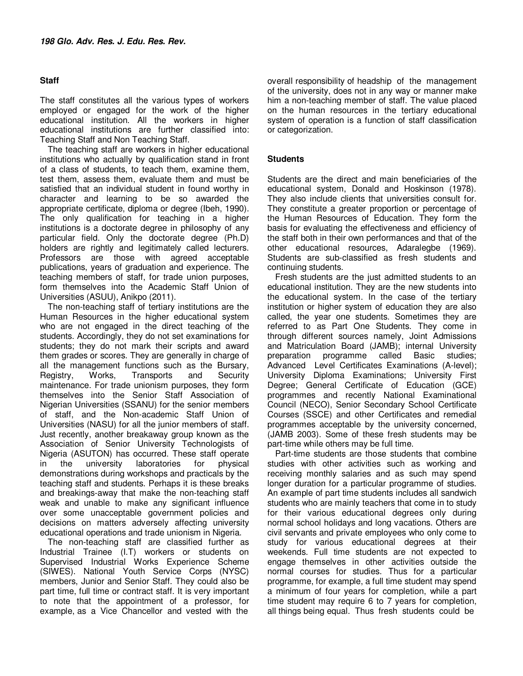#### **Staff**

The staff constitutes all the various types of workers employed or engaged for the work of the higher educational institution. All the workers in higher educational institutions are further classified into: Teaching Staff and Non Teaching Staff.

The teaching staff are workers in higher educational institutions who actually by qualification stand in front of a class of students, to teach them, examine them, test them, assess them, evaluate them and must be satisfied that an individual student in found worthy in character and learning to be so awarded the appropriate certificate, diploma or degree (Ibeh, 1990). The only qualification for teaching in a higher institutions is a doctorate degree in philosophy of any particular field. Only the doctorate degree (Ph.D) holders are rightly and legitimately called lecturers. Professors are those with agreed acceptable publications, years of graduation and experience. The teaching members of staff, for trade union purposes, form themselves into the Academic Staff Union of Universities (ASUU), Anikpo (2011).

The non-teaching staff of tertiary institutions are the Human Resources in the higher educational system who are not engaged in the direct teaching of the students. Accordingly, they do not set examinations for students; they do not mark their scripts and award them grades or scores. They are generally in charge of all the management functions such as the Bursary, Registry, Works, Transports and Security maintenance. For trade unionism purposes, they form themselves into the Senior Staff Association of Nigerian Universities (SSANU) for the senior members of staff, and the Non-academic Staff Union of Universities (NASU) for all the junior members of staff. Just recently, another breakaway group known as the Association of Senior University Technologists of Nigeria (ASUTON) has occurred. These staff operate in the university laboratories for physical demonstrations during workshops and practicals by the teaching staff and students. Perhaps it is these breaks and breakings-away that make the non-teaching staff weak and unable to make any significant influence over some unacceptable government policies and decisions on matters adversely affecting university educational operations and trade unionism in Nigeria.

The non-teaching staff are classified further as Industrial Trainee (I.T) workers or students on Supervised Industrial Works Experience Scheme (SIWES). National Youth Service Corps (NYSC) members, Junior and Senior Staff. They could also be part time, full time or contract staff. It is very important to note that the appointment of a professor, for example, as a Vice Chancellor and vested with the

overall responsibility of headship of the management of the university, does not in any way or manner make him a non-teaching member of staff. The value placed on the human resources in the tertiary educational system of operation is a function of staff classification or categorization.

#### **Students**

Students are the direct and main beneficiaries of the educational system, Donald and Hoskinson (1978). They also include clients that universities consult for. They constitute a greater proportion or percentage of the Human Resources of Education. They form the basis for evaluating the effectiveness and efficiency of the staff both in their own performances and that of the other educational resources, Adaralegbe (1969). Students are sub-classified as fresh students and continuing students.

Fresh students are the just admitted students to an educational institution. They are the new students into the educational system. In the case of the tertiary institution or higher system of education they are also called, the year one students. Sometimes they are referred to as Part One Students. They come in through different sources namely, Joint Admissions and Matriculation Board (JAMB); internal University preparation programme called Basic studies; Advanced Level Certificates Examinations (A-level); University Diploma Examinations; University First Degree; General Certificate of Education (GCE) programmes and recently National Examinational Council (NECO), Senior Secondary School Certificate Courses (SSCE) and other Certificates and remedial programmes acceptable by the university concerned, (JAMB 2003). Some of these fresh students may be part-time while others may be full time.

Part-time students are those students that combine studies with other activities such as working and receiving monthly salaries and as such may spend longer duration for a particular programme of studies. An example of part time students includes all sandwich students who are mainly teachers that come in to study for their various educational degrees only during normal school holidays and long vacations. Others are civil servants and private employees who only come to study for various educational degrees at their weekends. Full time students are not expected to engage themselves in other activities outside the normal courses for studies. Thus for a particular programme, for example, a full time student may spend a minimum of four years for completion, while a part time student may require 6 to 7 years for completion, all things being equal. Thus fresh students could be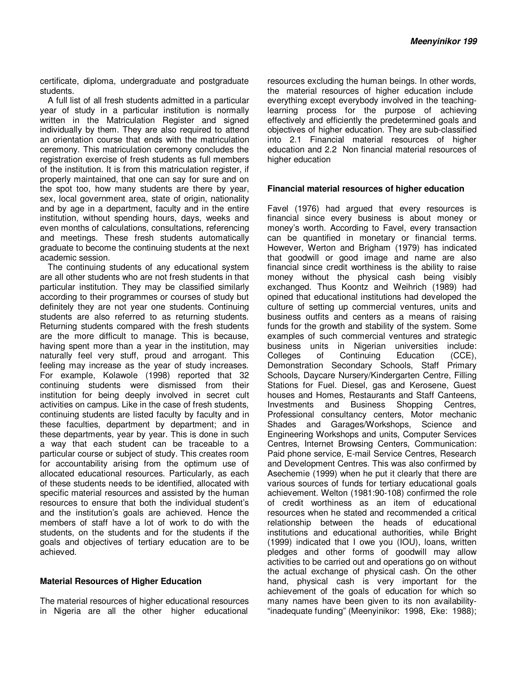certificate, diploma, undergraduate and postgraduate students.

A full list of all fresh students admitted in a particular year of study in a particular institution is normally written in the Matriculation Register and signed individually by them. They are also required to attend an orientation course that ends with the matriculation ceremony. This matriculation ceremony concludes the registration exercise of fresh students as full members of the institution. It is from this matriculation register, if properly maintained, that one can say for sure and on the spot too, how many students are there by year, sex, local government area, state of origin, nationality and by age in a department, faculty and in the entire institution, without spending hours, days, weeks and even months of calculations, consultations, referencing and meetings. These fresh students automatically graduate to become the continuing students at the next academic session.

The continuing students of any educational system are all other students who are not fresh students in that particular institution. They may be classified similarly according to their programmes or courses of study but definitely they are not year one students. Continuing students are also referred to as returning students. Returning students compared with the fresh students are the more difficult to manage. This is because, having spent more than a year in the institution, may naturally feel very stuff, proud and arrogant. This feeling may increase as the year of study increases. For example, Kolawole (1998) reported that 32 continuing students were dismissed from their institution for being deeply involved in secret cult activities on campus. Like in the case of fresh students, continuing students are listed faculty by faculty and in these faculties, department by department; and in these departments, year by year. This is done in such a way that each student can be traceable to a particular course or subject of study. This creates room for accountability arising from the optimum use of allocated educational resources. Particularly, as each of these students needs to be identified, allocated with specific material resources and assisted by the human resources to ensure that both the individual student's and the institution's goals are achieved. Hence the members of staff have a lot of work to do with the students, on the students and for the students if the goals and objectives of tertiary education are to be achieved.

#### **Material Resources of Higher Education**

The material resources of higher educational resources in Nigeria are all the other higher educational

resources excluding the human beings. In other words, the material resources of higher education include everything except everybody involved in the teachinglearning process for the purpose of achieving effectively and efficiently the predetermined goals and objectives of higher education. They are sub-classified into 2.1 Financial material resources of higher education and 2.2 Non financial material resources of higher education

#### **Financial material resources of higher education**

Favel (1976) had argued that every resources is financial since every business is about money or money's worth. According to Favel, every transaction can be quantified in monetary or financial terms. However, Werton and Brigham (1979) has indicated that goodwill or good image and name are also financial since credit worthiness is the ability to raise money without the physical cash being visibly exchanged. Thus Koontz and Weihrich (1989) had opined that educational institutions had developed the culture of setting up commercial ventures, units and business outfits and centers as a means of raising funds for the growth and stability of the system. Some examples of such commercial ventures and strategic business units in Nigerian universities include: Colleges of Continuing Education (CCE), Demonstration Secondary Schools, Staff Primary Schools, Daycare Nursery/Kindergarten Centre, Filling Stations for Fuel. Diesel, gas and Kerosene, Guest houses and Homes, Restaurants and Staff Canteens, Investments and Business Shopping Centres, Professional consultancy centers, Motor mechanic Shades and Garages/Workshops, Science and Engineering Workshops and units, Computer Services Centres, Internet Browsing Centers, Communication: Paid phone service, E-mail Service Centres, Research and Development Centres. This was also confirmed by Asechemie (1999) when he put it clearly that there are various sources of funds for tertiary educational goals achievement. Welton (1981:90-108) confirmed the role of credit worthiness as an item of educational resources when he stated and recommended a critical relationship between the heads of educational institutions and educational authorities, while Bright (1999) indicated that I owe you (IOU), loans, written pledges and other forms of goodwill may allow activities to be carried out and operations go on without the actual exchange of physical cash. On the other hand, physical cash is very important for the achievement of the goals of education for which so many names have been given to its non availability- "inadequate funding" (Meenyinikor: 1998, Eke: 1988);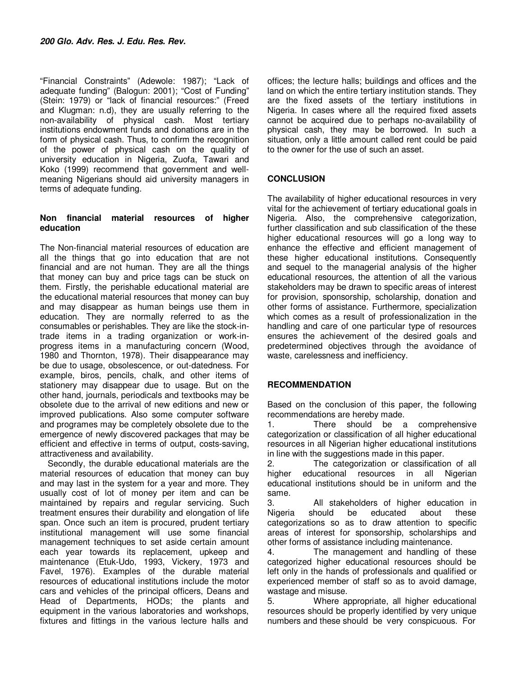"Financial Constraints" (Adewole: 1987); "Lack of adequate funding" (Balogun: 2001); "Cost of Funding" (Stein: 1979) or "lack of financial resources:" (Freed and Klugman: n.d), they are usually referring to the non-availability of physical cash. Most tertiary institutions endowment funds and donations are in the form of physical cash. Thus, to confirm the recognition of the power of physical cash on the quality of university education in Nigeria, Zuofa, Tawari and Koko (1999) recommend that government and wellmeaning Nigerians should aid university managers in terms of adequate funding.

#### **Non financial material resources of higher education**

The Non-financial material resources of education are all the things that go into education that are not financial and are not human. They are all the things that money can buy and price tags can be stuck on them. Firstly, the perishable educational material are the educational material resources that money can buy and may disappear as human beings use them in education. They are normally referred to as the consumables or perishables. They are like the stock-intrade items in a trading organization or work-inprogress items in a manufacturing concern (Wood, 1980 and Thornton, 1978). Their disappearance may be due to usage, obsolescence, or out-datedness. For example, biros, pencils, chalk, and other items of stationery may disappear due to usage. But on the other hand, journals, periodicals and textbooks may be obsolete due to the arrival of new editions and new or improved publications. Also some computer software and programes may be completely obsolete due to the emergence of newly discovered packages that may be efficient and effective in terms of output, costs-saving, attractiveness and availability.

Secondly, the durable educational materials are the material resources of education that money can buy and may last in the system for a year and more. They usually cost of lot of money per item and can be maintained by repairs and regular servicing. Such treatment ensures their durability and elongation of life span. Once such an item is procured, prudent tertiary institutional management will use some financial management techniques to set aside certain amount each year towards its replacement, upkeep and maintenance (Etuk-Udo, 1993, Vickery, 1973 and Favel, 1976). Examples of the durable material resources of educational institutions include the motor cars and vehicles of the principal officers, Deans and Head of Departments, HODs; the plants and equipment in the various laboratories and workshops, fixtures and fittings in the various lecture halls and

offices; the lecture halls; buildings and offices and the land on which the entire tertiary institution stands. They are the fixed assets of the tertiary institutions in Nigeria. In cases where all the required fixed assets cannot be acquired due to perhaps no-availability of physical cash, they may be borrowed. In such a situation, only a little amount called rent could be paid to the owner for the use of such an asset.

#### **CONCLUSION**

The availability of higher educational resources in very vital for the achievement of tertiary educational goals in Nigeria. Also, the comprehensive categorization, further classification and sub classification of the these higher educational resources will go a long way to enhance the effective and efficient management of these higher educational institutions. Consequently and sequel to the managerial analysis of the higher educational resources, the attention of all the various stakeholders may be drawn to specific areas of interest for provision, sponsorship, scholarship, donation and other forms of assistance. Furthermore, specialization which comes as a result of professionalization in the handling and care of one particular type of resources ensures the achievement of the desired goals and predetermined objectives through the avoidance of waste, carelessness and inefficiency.

#### **RECOMMENDATION**

Based on the conclusion of this paper, the following recommendations are hereby made.

1. There should be a comprehensive categorization or classification of all higher educational resources in all Nigerian higher educational institutions in line with the suggestions made in this paper.

2. The categorization or classification of all higher educational resources in all Nigerian educational institutions should be in uniform and the same.

3. All stakeholders of higher education in Nigeria should be educated about these categorizations so as to draw attention to specific areas of interest for sponsorship, scholarships and other forms of assistance including maintenance.

4. The management and handling of these categorized higher educational resources should be left only in the hands of professionals and qualified or experienced member of staff so as to avoid damage, wastage and misuse.

5. Where appropriate, all higher educational resources should be properly identified by very unique numbers and these should be very conspicuous. For